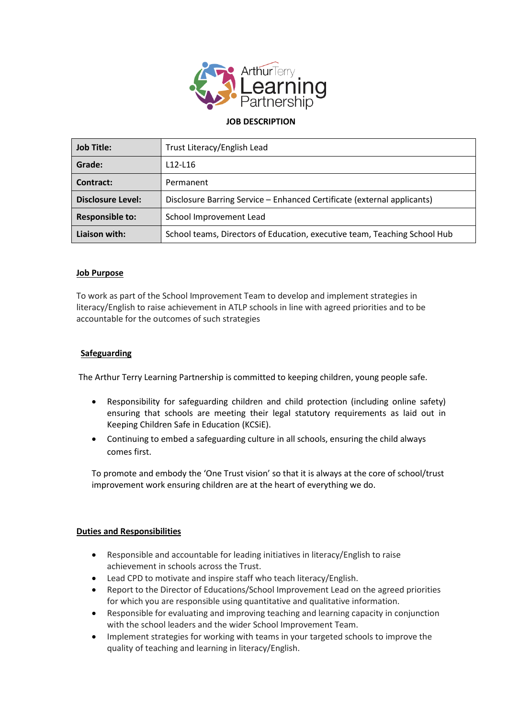

### **JOB DESCRIPTION**

| <b>Job Title:</b>        | Trust Literacy/English Lead                                               |
|--------------------------|---------------------------------------------------------------------------|
| Grade:                   | $L12-L16$                                                                 |
| Contract:                | Permanent                                                                 |
| <b>Disclosure Level:</b> | Disclosure Barring Service - Enhanced Certificate (external applicants)   |
| <b>Responsible to:</b>   | School Improvement Lead                                                   |
| Liaison with:            | School teams, Directors of Education, executive team, Teaching School Hub |

#### **Job Purpose**

To work as part of the School Improvement Team to develop and implement strategies in literacy/English to raise achievement in ATLP schools in line with agreed priorities and to be accountable for the outcomes of such strategies

### **Safeguarding**

The Arthur Terry Learning Partnership is committed to keeping children, young people safe.

- Responsibility for safeguarding children and child protection (including online safety) ensuring that schools are meeting their legal statutory requirements as laid out in Keeping Children Safe in Education (KCSiE).
- Continuing to embed a safeguarding culture in all schools, ensuring the child always comes first.

To promote and embody the 'One Trust vision' so that it is always at the core of school/trust improvement work ensuring children are at the heart of everything we do.

#### **Duties and Responsibilities**

- Responsible and accountable for leading initiatives in literacy/English to raise achievement in schools across the Trust.
- Lead CPD to motivate and inspire staff who teach literacy/English.
- Report to the Director of Educations/School Improvement Lead on the agreed priorities for which you are responsible using quantitative and qualitative information.
- Responsible for evaluating and improving teaching and learning capacity in conjunction with the school leaders and the wider School Improvement Team.
- Implement strategies for working with teams in your targeted schools to improve the quality of teaching and learning in literacy/English.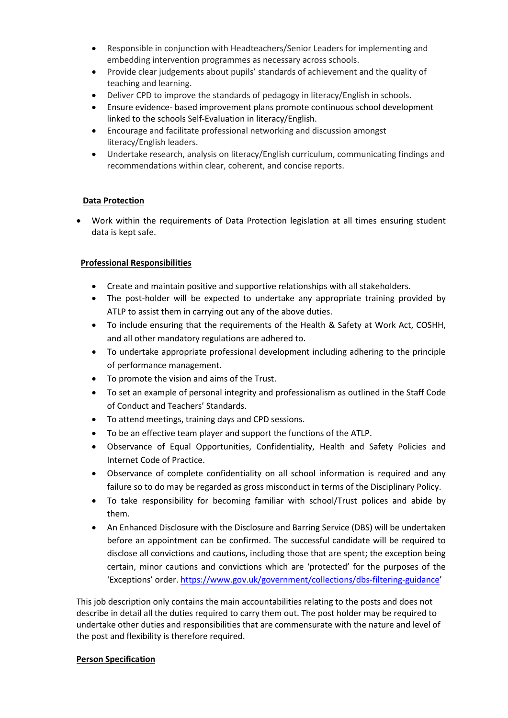- Responsible in conjunction with Headteachers/Senior Leaders for implementing and embedding intervention programmes as necessary across schools.
- Provide clear judgements about pupils' standards of achievement and the quality of teaching and learning.
- Deliver CPD to improve the standards of pedagogy in literacy/English in schools.
- Ensure evidence- based improvement plans promote continuous school development linked to the schools Self-Evaluation in literacy/English.
- Encourage and facilitate professional networking and discussion amongst literacy/English leaders.
- Undertake research, analysis on literacy/English curriculum, communicating findings and recommendations within clear, coherent, and concise reports.

# **Data Protection**

 Work within the requirements of Data Protection legislation at all times ensuring student data is kept safe.

# **Professional Responsibilities**

- Create and maintain positive and supportive relationships with all stakeholders.
- The post-holder will be expected to undertake any appropriate training provided by ATLP to assist them in carrying out any of the above duties.
- To include ensuring that the requirements of the Health & Safety at Work Act, COSHH, and all other mandatory regulations are adhered to.
- To undertake appropriate professional development including adhering to the principle of performance management.
- To promote the vision and aims of the Trust.
- To set an example of personal integrity and professionalism as outlined in the Staff Code of Conduct and Teachers' Standards.
- To attend meetings, training days and CPD sessions.
- To be an effective team player and support the functions of the ATLP.
- Observance of Equal Opportunities, Confidentiality, Health and Safety Policies and Internet Code of Practice.
- Observance of complete confidentiality on all school information is required and any failure so to do may be regarded as gross misconduct in terms of the Disciplinary Policy.
- To take responsibility for becoming familiar with school/Trust polices and abide by them.
- An Enhanced Disclosure with the Disclosure and Barring Service (DBS) will be undertaken before an appointment can be confirmed. The successful candidate will be required to disclose all convictions and cautions, including those that are spent; the exception being certain, minor cautions and convictions which are 'protected' for the purposes of the 'Exceptions' order. <https://www.gov.uk/government/collections/dbs-filtering-guidance>'

This job description only contains the main accountabilities relating to the posts and does not describe in detail all the duties required to carry them out. The post holder may be required to undertake other duties and responsibilities that are commensurate with the nature and level of the post and flexibility is therefore required.

## **Person Specification**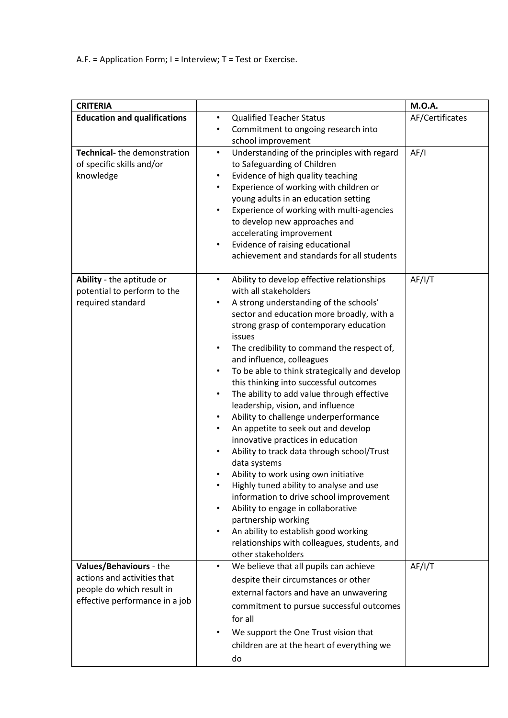A.F. = Application Form; I = Interview; T = Test or Exercise.

| <b>CRITERIA</b>                                                                                                       |                                                                                                                                                                                                                                                                                                                                                                                                                                                                                                                                                                                                                                                                                                                                                                                                                                                                                                                                                                                                                                                                                                                         | <b>M.O.A.</b>   |
|-----------------------------------------------------------------------------------------------------------------------|-------------------------------------------------------------------------------------------------------------------------------------------------------------------------------------------------------------------------------------------------------------------------------------------------------------------------------------------------------------------------------------------------------------------------------------------------------------------------------------------------------------------------------------------------------------------------------------------------------------------------------------------------------------------------------------------------------------------------------------------------------------------------------------------------------------------------------------------------------------------------------------------------------------------------------------------------------------------------------------------------------------------------------------------------------------------------------------------------------------------------|-----------------|
| <b>Education and qualifications</b>                                                                                   | <b>Qualified Teacher Status</b><br>$\bullet$<br>Commitment to ongoing research into<br>$\bullet$<br>school improvement                                                                                                                                                                                                                                                                                                                                                                                                                                                                                                                                                                                                                                                                                                                                                                                                                                                                                                                                                                                                  | AF/Certificates |
| Technical-the demonstration<br>of specific skills and/or<br>knowledge                                                 | Understanding of the principles with regard<br>$\bullet$<br>to Safeguarding of Children<br>Evidence of high quality teaching<br>$\bullet$<br>Experience of working with children or<br>$\bullet$<br>young adults in an education setting<br>Experience of working with multi-agencies<br>$\bullet$<br>to develop new approaches and<br>accelerating improvement<br>Evidence of raising educational<br>$\bullet$<br>achievement and standards for all students                                                                                                                                                                                                                                                                                                                                                                                                                                                                                                                                                                                                                                                           | AF/I            |
| Ability - the aptitude or<br>potential to perform to the<br>required standard                                         | Ability to develop effective relationships<br>$\bullet$<br>with all stakeholders<br>A strong understanding of the schools'<br>$\bullet$<br>sector and education more broadly, with a<br>strong grasp of contemporary education<br>issues<br>The credibility to command the respect of,<br>$\bullet$<br>and influence, colleagues<br>To be able to think strategically and develop<br>$\bullet$<br>this thinking into successful outcomes<br>The ability to add value through effective<br>$\bullet$<br>leadership, vision, and influence<br>Ability to challenge underperformance<br>$\bullet$<br>An appetite to seek out and develop<br>$\bullet$<br>innovative practices in education<br>Ability to track data through school/Trust<br>$\bullet$<br>data systems<br>Ability to work using own initiative<br>٠<br>Highly tuned ability to analyse and use<br>$\bullet$<br>information to drive school improvement<br>Ability to engage in collaborative<br>$\bullet$<br>partnership working<br>An ability to establish good working<br>$\bullet$<br>relationships with colleagues, students, and<br>other stakeholders | AF/I/T          |
| Values/Behaviours - the<br>actions and activities that<br>people do which result in<br>effective performance in a job | We believe that all pupils can achieve<br>$\bullet$<br>despite their circumstances or other<br>external factors and have an unwavering<br>commitment to pursue successful outcomes                                                                                                                                                                                                                                                                                                                                                                                                                                                                                                                                                                                                                                                                                                                                                                                                                                                                                                                                      | AF/I/T          |
|                                                                                                                       | for all<br>We support the One Trust vision that<br>$\bullet$<br>children are at the heart of everything we<br>do                                                                                                                                                                                                                                                                                                                                                                                                                                                                                                                                                                                                                                                                                                                                                                                                                                                                                                                                                                                                        |                 |